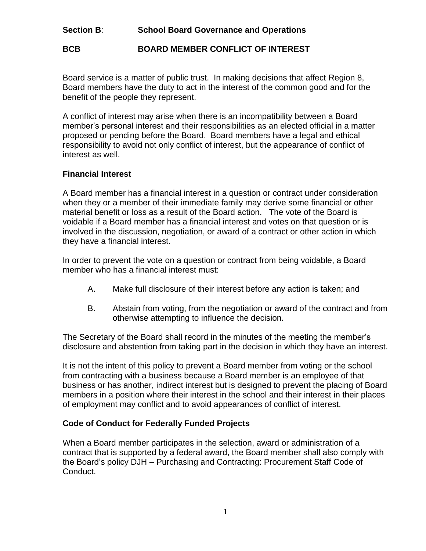# **Section B**: **School Board Governance and Operations**

# **BCB BOARD MEMBER CONFLICT OF INTEREST**

Board service is a matter of public trust. In making decisions that affect Region 8, Board members have the duty to act in the interest of the common good and for the benefit of the people they represent.

A conflict of interest may arise when there is an incompatibility between a Board member's personal interest and their responsibilities as an elected official in a matter proposed or pending before the Board. Board members have a legal and ethical responsibility to avoid not only conflict of interest, but the appearance of conflict of interest as well.

#### **Financial Interest**

A Board member has a financial interest in a question or contract under consideration when they or a member of their immediate family may derive some financial or other material benefit or loss as a result of the Board action. The vote of the Board is voidable if a Board member has a financial interest and votes on that question or is involved in the discussion, negotiation, or award of a contract or other action in which they have a financial interest.

In order to prevent the vote on a question or contract from being voidable, a Board member who has a financial interest must:

- A. Make full disclosure of their interest before any action is taken; and
- B. Abstain from voting, from the negotiation or award of the contract and from otherwise attempting to influence the decision.

The Secretary of the Board shall record in the minutes of the meeting the member's disclosure and abstention from taking part in the decision in which they have an interest.

It is not the intent of this policy to prevent a Board member from voting or the school from contracting with a business because a Board member is an employee of that business or has another, indirect interest but is designed to prevent the placing of Board members in a position where their interest in the school and their interest in their places of employment may conflict and to avoid appearances of conflict of interest.

# **Code of Conduct for Federally Funded Projects**

When a Board member participates in the selection, award or administration of a contract that is supported by a federal award, the Board member shall also comply with the Board's policy DJH – Purchasing and Contracting: Procurement Staff Code of Conduct.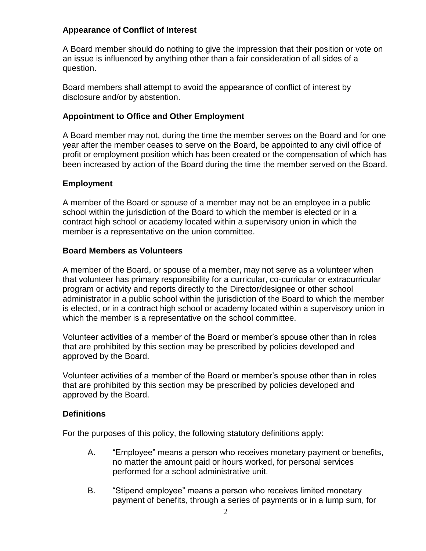## **Appearance of Conflict of Interest**

A Board member should do nothing to give the impression that their position or vote on an issue is influenced by anything other than a fair consideration of all sides of a question.

Board members shall attempt to avoid the appearance of conflict of interest by disclosure and/or by abstention.

## **Appointment to Office and Other Employment**

A Board member may not, during the time the member serves on the Board and for one year after the member ceases to serve on the Board, be appointed to any civil office of profit or employment position which has been created or the compensation of which has been increased by action of the Board during the time the member served on the Board.

## **Employment**

A member of the Board or spouse of a member may not be an employee in a public school within the jurisdiction of the Board to which the member is elected or in a contract high school or academy located within a supervisory union in which the member is a representative on the union committee.

## **Board Members as Volunteers**

A member of the Board, or spouse of a member, may not serve as a volunteer when that volunteer has primary responsibility for a curricular, co-curricular or extracurricular program or activity and reports directly to the Director/designee or other school administrator in a public school within the jurisdiction of the Board to which the member is elected, or in a contract high school or academy located within a supervisory union in which the member is a representative on the school committee.

Volunteer activities of a member of the Board or member's spouse other than in roles that are prohibited by this section may be prescribed by policies developed and approved by the Board.

Volunteer activities of a member of the Board or member's spouse other than in roles that are prohibited by this section may be prescribed by policies developed and approved by the Board.

#### **Definitions**

For the purposes of this policy, the following statutory definitions apply:

- A. "Employee" means a person who receives monetary payment or benefits, no matter the amount paid or hours worked, for personal services performed for a school administrative unit.
- B. "Stipend employee" means a person who receives limited monetary payment of benefits, through a series of payments or in a lump sum, for